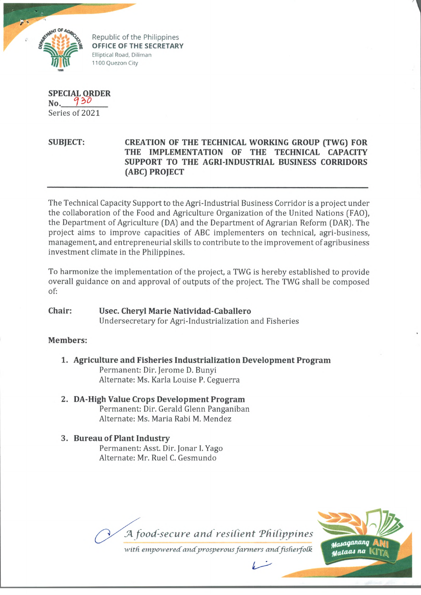

Republic of the Philippines **OFFICE OF THE SECRETARY** Elliptical Road, Diliman 1100 Quezon City

**SPECIAL ORDER No.** Series of 2021

## **SUBJECT: CREATION OF THE TECHNICAL WORKING GROUP (TWG) FOR THE IMPLEMENTATION OF THE TECHNICAL CAPACITY SUPPORT TO THE AGRI-INDUSTRIAL BUSINESS CORRIDORS (ABC) PROJECT**

The Technical Capacity Support to the Agri-Industrial Business Corridor is a project under the collaboration of the Food and Agriculture Organization of the United Nations (FAO), the Department of Agriculture (DA) and the Department of Agrarian Reform (DAR). The project aims to improve capacities of ABC implementers on technical, agri-business, management, and entrepreneurial skills to contribute to the improvement of agribusiness investment climate in the Philippines.

To harmonize the implementation of the project, a TWG is hereby established to provide overall guidance on and approval of outputs of the project. The TWG shall be composed of:

#### **Chair: Usee. Cheryl Marie Natividad-Caballero** Undersecretary for Agri-Industrialization and Fisheries

# **Members:**

- **1. Agriculture and Fisheries Industrialization Development Program** Permanent: Dir. Jerome D. Bunyi Alternate: Ms. Karla Louise P. Ceguerra
- **2. DA-High Value Crops Development Program** Permanent: Dir. Gerald Glenn Panganiban Alternate: Ms. Maria Rabi M. Mendez
- **3. Bureau of Plant Industry** Permanent: Asst. Dir. Jonar I. Yago Alternate: Mr. Ruel C. Gesmundo

**JA** *food-secure and resident 'Philippines*